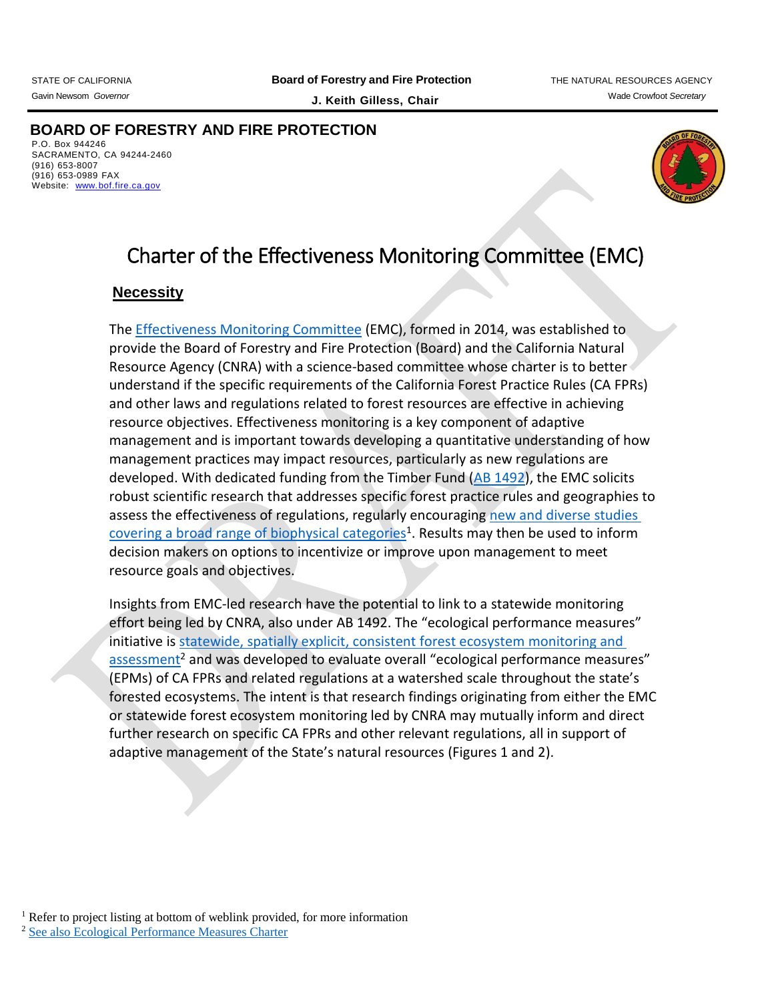## **BOARD OF FORESTRY AND FIRE PROTECTION**

P.O. Box 944246 SACRAMENTO, CA 94244-2460 (916) 653-8007 (916) 653-0989 FAX Website: [www.b](http://www/)of.fire.ca.gov



# Charter of the Effectiveness Monitoring Committee (EMC)

### **Necessity**

The [Effectiveness Monitoring Committee](https://bof.fire.ca.gov/board-committees/effectiveness-monitoring-committee/) (EMC), formed in 2014, was established to provide the Board of Forestry and Fire Protection (Board) and the California Natural Resource Agency (CNRA) with a science-based committee whose charter is to better understand if the specific requirements of the California Forest Practice Rules (CA FPRs) and other laws and regulations related to forest resources are effective in achieving resource objectives. Effectiveness monitoring is a key component of adaptive management and is important towards developing a quantitative understanding of how management practices may impact resources, particularly as new regulations are developed. With dedicated funding from the Timber Fund [\(AB 1492\)](http://leginfo.legislature.ca.gov/faces/billNavClient.xhtml?bill_id=201120120AB1492&search_keywords=), the EMC solicits robust scientific research that addresses specific forest practice rules and geographies to assess the effectiveness of regulations, regularly encouraging new and diverse studies [covering a broad range of biophysical categories](https://bof.fire.ca.gov/board-committees/effectiveness-monitoring-committee/)<sup>1</sup>. Results may then be used to inform decision makers on options to incentivize or improve upon management to meet resource goals and objectives.

Insights from EMC-led research have the potential to link to a statewide monitoring effort being led by CNRA, also under AB 1492. The "ecological performance measures" initiative i[s statewide, spatially explicit, consistent](https://resources.ca.gov/Initiatives/Forest-Stewardship/epm) forest ecosystem monitoring and [assessment](https://resources.ca.gov/Initiatives/Forest-Stewardship/epm)<sup>2</sup> and was developed to evaluate overall "ecological performance measures" (EPMs) of CA FPRs and related regulations at a watershed scale throughout the state's forested ecosystems. The intent is that research findings originating from either the EMC or statewide forest ecosystem monitoring led by CNRA may mutually inform and direct further research on specific CA FPRs and other relevant regulations, all in support of adaptive management of the State's natural resources (Figures 1 and 2).

<sup>1</sup> Refer to project listing at bottom of weblink provided, for more information

<sup>2</sup> [See also Ecological Performance Measures Charter](https://resources.ca.gov/CNRALegacyFiles/docs/forestry/Ecological_Performance_Measures_Working_Group_Charter-FINAL_6-10-2015.pdf)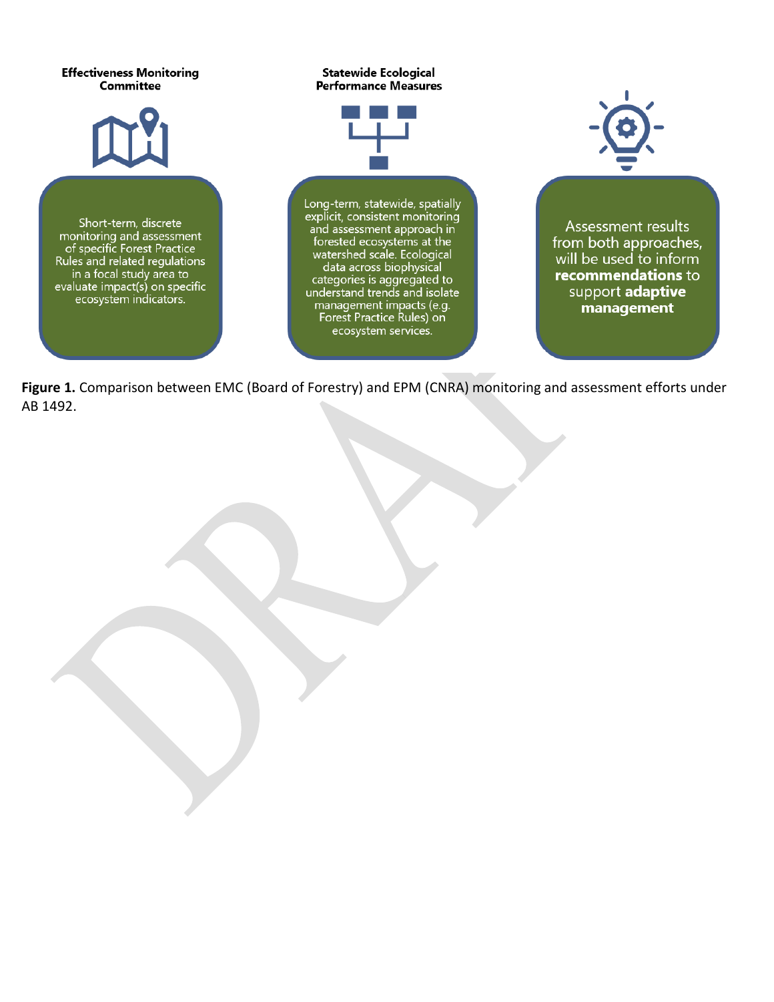

**Figure 1.** Comparison between EMC (Board of Forestry) and EPM (CNRA) monitoring and assessment efforts under AB 1492.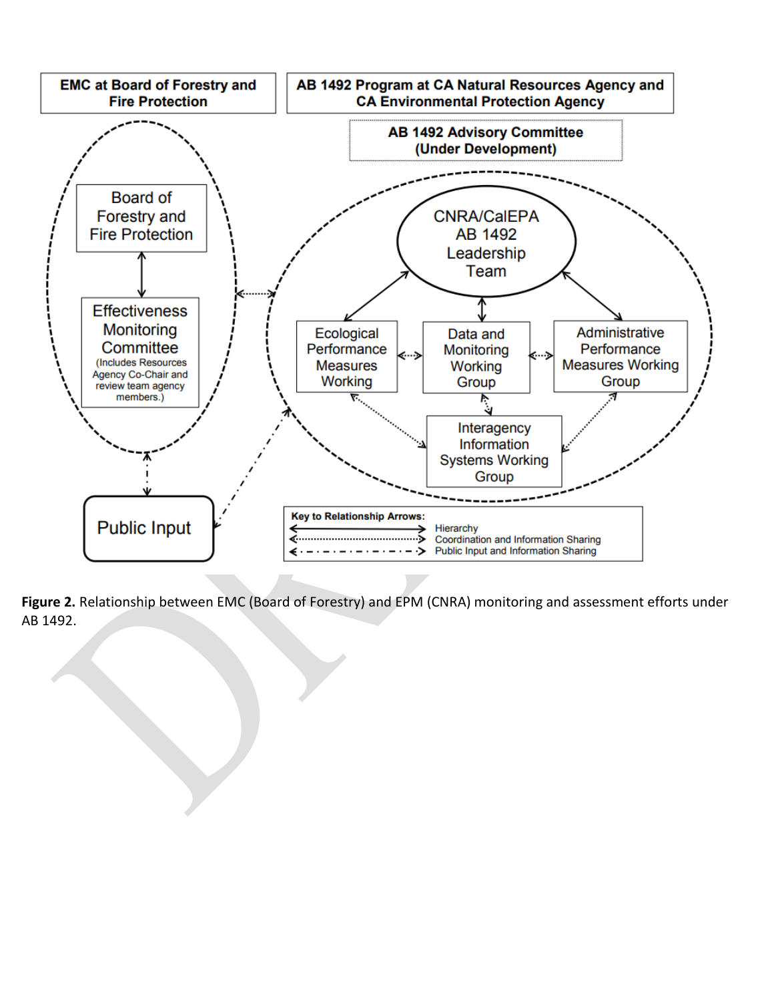

**Figure 2.** Relationship between EMC (Board of Forestry) and EPM (CNRA) monitoring and assessment efforts under AB 1492.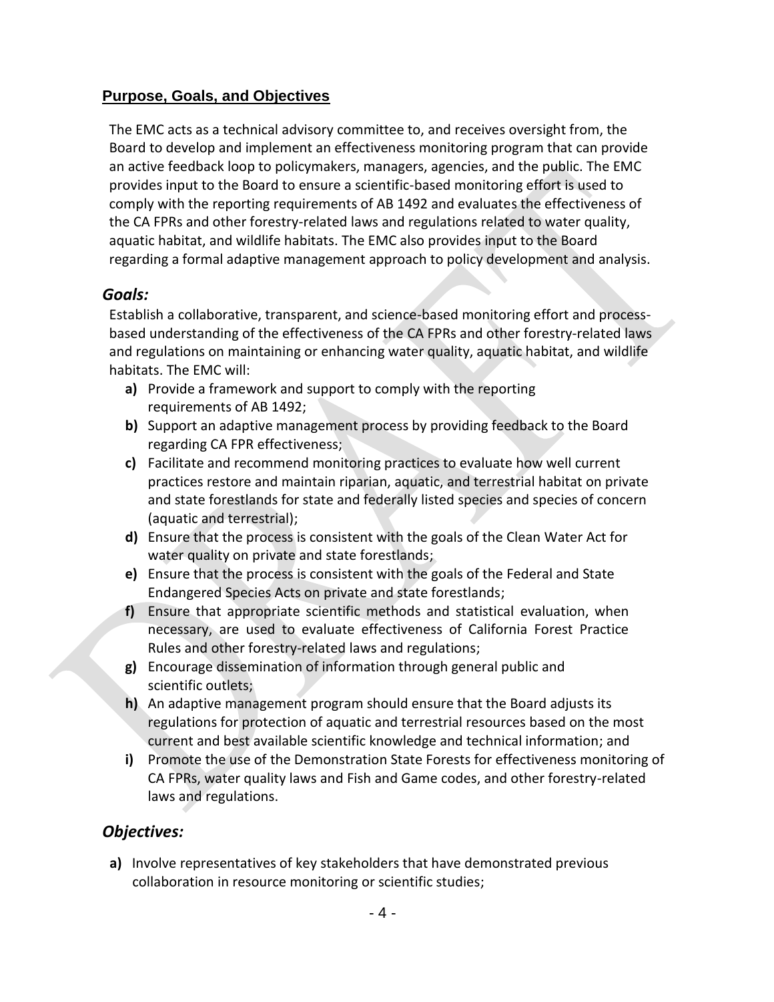## **Purpose, Goals, and Objectives**

The EMC acts as a technical advisory committee to, and receives oversight from, the Board to develop and implement an effectiveness monitoring program that can provide an active feedback loop to policymakers, managers, agencies, and the public. The EMC provides input to the Board to ensure a scientific-based monitoring effort is used to comply with the reporting requirements of AB 1492 and evaluates the effectiveness of the CA FPRs and other forestry-related laws and regulations related to water quality, aquatic habitat, and wildlife habitats. The EMC also provides input to the Board regarding a formal adaptive management approach to policy development and analysis.

#### *Goals:*

Establish a collaborative, transparent, and science-based monitoring effort and processbased understanding of the effectiveness of the CA FPRs and other forestry-related laws and regulations on maintaining or enhancing water quality, aquatic habitat, and wildlife habitats. The EMC will:

- **a)** Provide a framework and support to comply with the reporting requirements of AB 1492;
- **b)** Support an adaptive management process by providing feedback to the Board regarding CA FPR effectiveness;
- **c)** Facilitate and recommend monitoring practices to evaluate how well current practices restore and maintain riparian, aquatic, and terrestrial habitat on private and state forestlands for state and federally listed species and species of concern (aquatic and terrestrial);
- **d)** Ensure that the process is consistent with the goals of the Clean Water Act for water quality on private and state forestlands;
- **e)** Ensure that the process is consistent with the goals of the Federal and State Endangered Species Acts on private and state forestlands;
- **f)** Ensure that appropriate scientific methods and statistical evaluation, when necessary, are used to evaluate effectiveness of California Forest Practice Rules and other forestry-related laws and regulations;
- **g)** Encourage dissemination of information through general public and scientific outlets;
- **h)** An adaptive management program should ensure that the Board adjusts its regulations for protection of aquatic and terrestrial resources based on the most current and best available scientific knowledge and technical information; and
- **i)** Promote the use of the Demonstration State Forests for effectiveness monitoring of CA FPRs, water quality laws and Fish and Game codes, and other forestry-related laws and regulations.

## *Objectives:*

**a)** Involve representatives of key stakeholders that have demonstrated previous collaboration in resource monitoring or scientific studies;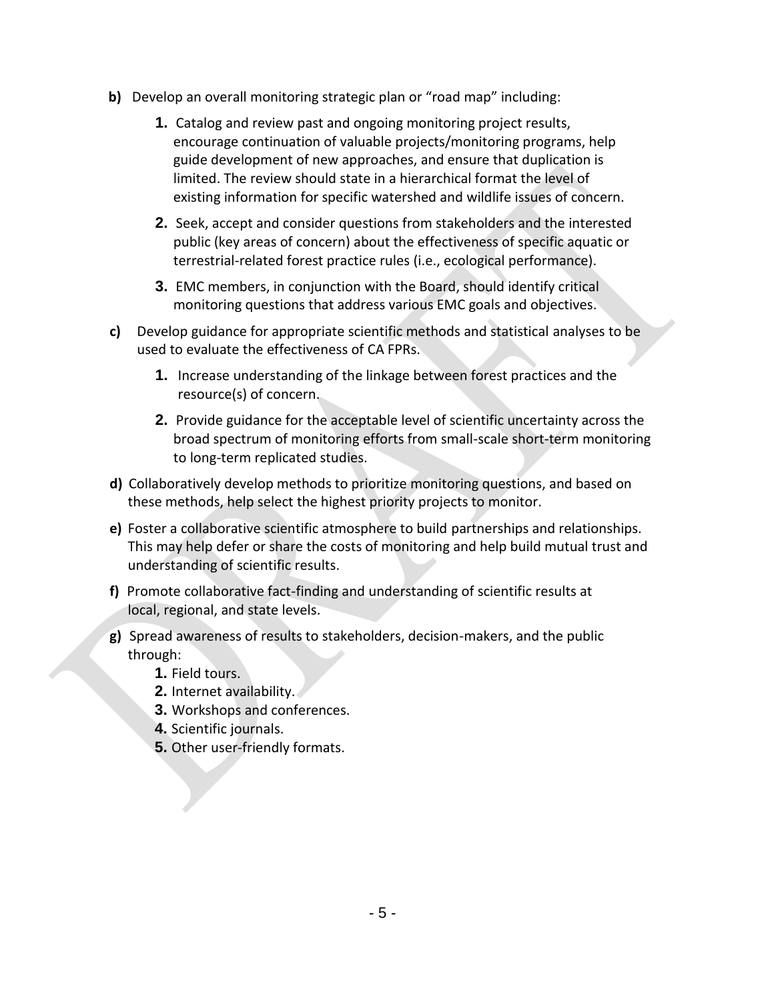- **b)** Develop an overall monitoring strategic plan or "road map" including:
	- **1.** Catalog and review past and ongoing monitoring project results, encourage continuation of valuable projects/monitoring programs, help guide development of new approaches, and ensure that duplication is limited. The review should state in a hierarchical format the level of existing information for specific watershed and wildlife issues of concern.
	- **2.** Seek, accept and consider questions from stakeholders and the interested public (key areas of concern) about the effectiveness of specific aquatic or terrestrial-related forest practice rules (i.e., ecological performance).
	- **3.** EMC members, in conjunction with the Board, should identify critical monitoring questions that address various EMC goals and objectives.
- **c)** Develop guidance for appropriate scientific methods and statistical analyses to be used to evaluate the effectiveness of CA FPRs.
	- **1.** Increase understanding of the linkage between forest practices and the resource(s) of concern.
	- **2.** Provide guidance for the acceptable level of scientific uncertainty across the broad spectrum of monitoring efforts from small-scale short-term monitoring to long-term replicated studies.
- **d)** Collaboratively develop methods to prioritize monitoring questions, and based on these methods, help select the highest priority projects to monitor.
- **e)** Foster a collaborative scientific atmosphere to build partnerships and relationships. This may help defer or share the costs of monitoring and help build mutual trust and understanding of scientific results.
- **f)** Promote collaborative fact-finding and understanding of scientific results at local, regional, and state levels.
- **g)** Spread awareness of results to stakeholders, decision-makers, and the public through:
	- **1.** Field tours.
	- **2.** Internet availability.
	- **3.** Workshops and conferences.
	- **4.** Scientific journals.
	- **5.** Other user-friendly formats.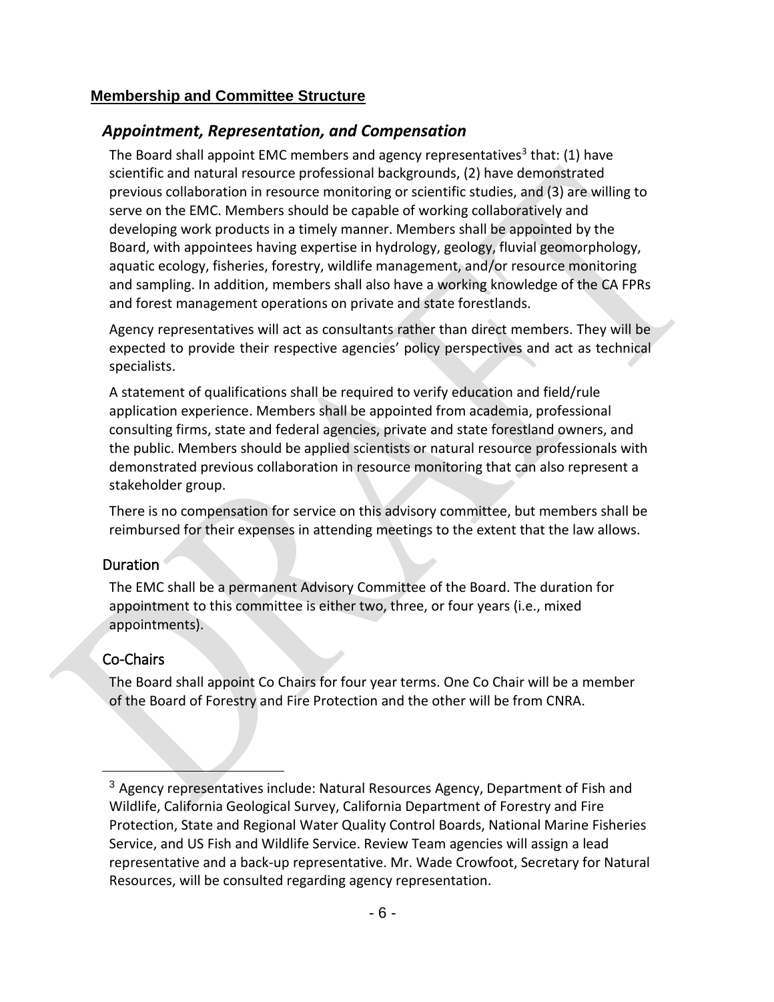### **Membership and Committee Structure**

## *Appointment, Representation, and Compensation*

The Board shall appoint EMC members and agency representatives<sup>3</sup> that: (1) have scientific and natural resource professional backgrounds, (2) have demonstrated previous collaboration in resource monitoring or scientific studies, and (3) are willing to serve on the EMC. Members should be capable of working collaboratively and developing work products in a timely manner. Members shall be appointed by the Board, with appointees having expertise in hydrology, geology, fluvial geomorphology, aquatic ecology, fisheries, forestry, wildlife management, and/or resource monitoring and sampling. In addition, members shall also have a working knowledge of the CA FPRs and forest management operations on private and state forestlands.

Agency representatives will act as consultants rather than direct members. They will be expected to provide their respective agencies' policy perspectives and act as technical specialists.

A statement of qualifications shall be required to verify education and field/rule application experience. Members shall be appointed from academia, professional consulting firms, state and federal agencies, private and state forestland owners, and the public. Members should be applied scientists or natural resource professionals with demonstrated previous collaboration in resource monitoring that can also represent a stakeholder group.

There is no compensation for service on this advisory committee, but members shall be reimbursed for their expenses in attending meetings to the extent that the law allows.

#### Duration<sup>®</sup>

The EMC shall be a permanent Advisory Committee of the Board. The duration for appointment to this committee is either two, three, or four years (i.e., mixed appointments).

## Co-Chairs

 $\overline{a}$ 

The Board shall appoint Co Chairs for four year terms. One Co Chair will be a member of the Board of Forestry and Fire Protection and the other will be from CNRA.

 $3$  Agency representatives include: Natural Resources Agency, Department of Fish and Wildlife, California Geological Survey, California Department of Forestry and Fire Protection, State and Regional Water Quality Control Boards, National Marine Fisheries Service, and US Fish and Wildlife Service. Review Team agencies will assign a lead representative and a back-up representative. Mr. Wade Crowfoot, Secretary for Natural Resources, will be consulted regarding agency representation.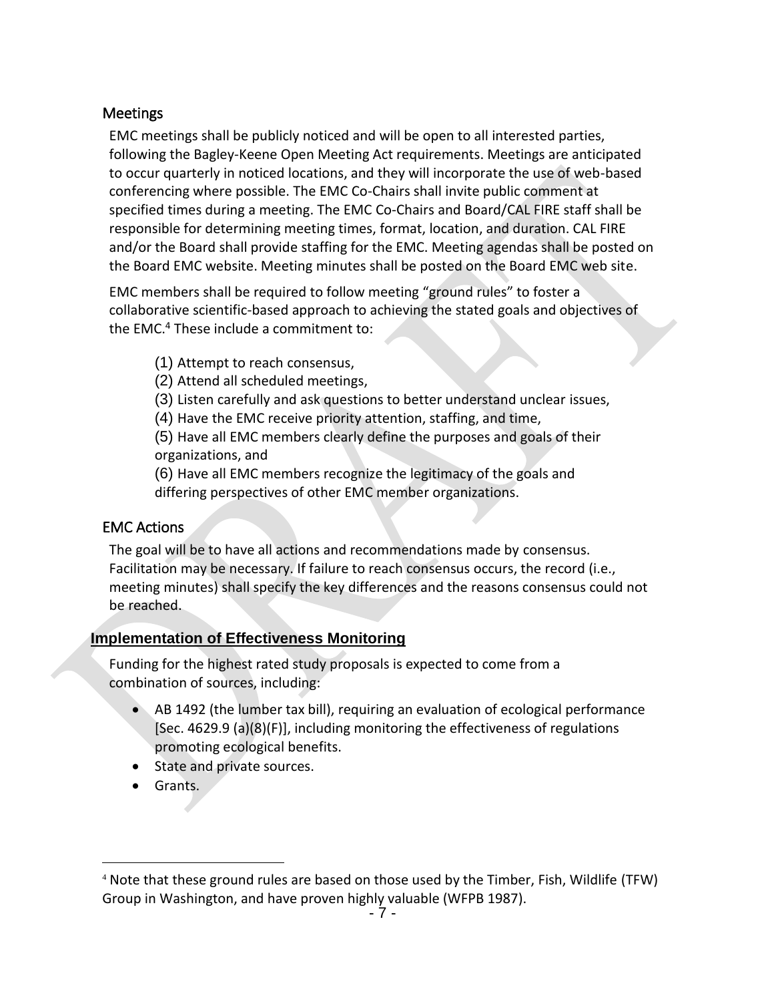## **Meetings**

EMC meetings shall be publicly noticed and will be open to all interested parties, following the Bagley-Keene Open Meeting Act requirements. Meetings are anticipated to occur quarterly in noticed locations, and they will incorporate the use of web-based conferencing where possible. The EMC Co-Chairs shall invite public comment at specified times during a meeting. The EMC Co-Chairs and Board/CAL FIRE staff shall be responsible for determining meeting times, format, location, and duration. CAL FIRE and/or the Board shall provide staffing for the EMC. Meeting agendas shall be posted on the Board EMC website. Meeting minutes shall be posted on the Board EMC web site.

EMC members shall be required to follow meeting "ground rules" to foster a collaborative scientific-based approach to achieving the stated goals and objectives of the EMC.<sup>4</sup> These include a commitment to:

- (1) Attempt to reach consensus,
- (2) Attend all scheduled meetings,
- (3) Listen carefully and ask questions to better understand unclear issues,
- (4) Have the EMC receive priority attention, staffing, and time,

(5) Have all EMC members clearly define the purposes and goals of their organizations, and

(6) Have all EMC members recognize the legitimacy of the goals and differing perspectives of other EMC member organizations.

## EMC Actions

The goal will be to have all actions and recommendations made by consensus. Facilitation may be necessary. If failure to reach consensus occurs, the record (i.e., meeting minutes) shall specify the key differences and the reasons consensus could not be reached.

## **Implementation of Effectiveness Monitoring**

Funding for the highest rated study proposals is expected to come from a combination of sources, including:

- AB 1492 (the lumber tax bill), requiring an evaluation of ecological performance [Sec. 4629.9 (a)(8)(F)], including monitoring the effectiveness of regulations promoting ecological benefits.
- State and private sources.
- **•** Grants.

 $\overline{a}$ 

<sup>4</sup> Note that these ground rules are based on those used by the Timber, Fish, Wildlife (TFW) Group in Washington, and have proven highly valuable (WFPB 1987).